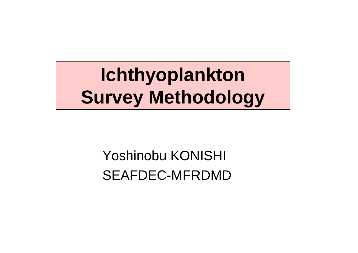**Ichthyoplankton Survey Methodology**

> Yoshinobu KONISHI SEAFDEC-MFRDMD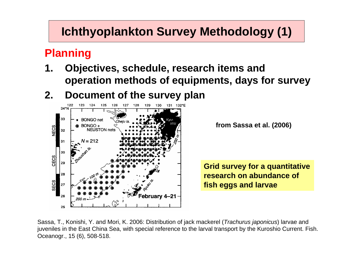## **Ichthyoplankton Survey Methodology (1)**

#### **Planning**

- **1. Objectives, schedule, research items and operation methods of equipments, days for survey**
- **2. Document of the survey plan**



**from Sassa et al. (2006)**

**Grid survey for a quantitative research on abundance of fish eggs and larvae**

Sassa, T., Konishi, Y. and Mori, K. 2006: Distribution of jack mackerel (*Trachurus japonicus*) larvae and juveniles in the East China Sea, with special reference to the larval transport by the Kuroshio Current. Fish. Oceanogr., 15 (6), 508-518.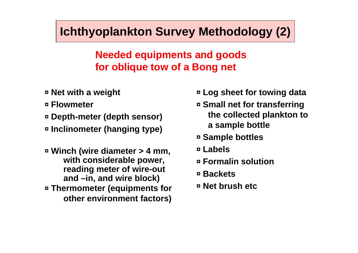## **Ichthyoplankton Survey Methodology (2)**

#### **Needed equipments and goods for oblique tow of a Bong net**

- ◘ **Net with a weight**
- ◘ **Flowmeter**
- ◘ **Depth-meter (depth sensor)**
- ◘ **Inclinometer (hanging type)**
- ◘ **Winch (wire diameter > 4 mm, with considerable power, reading meter of wire-out and –in, and wire block)** ◘ **Thermometer (equipments for other environment factors)**
- ◘ **Log sheet for towing data**
- ◘ **Small net for transferring the collected plankton to a sample bottle**
- ◘ **Sample bottles**
- ◘ **Labels**
- ◘ **Formalin solution**
- ◘ **Backets**
- ◘ **Net brush etc**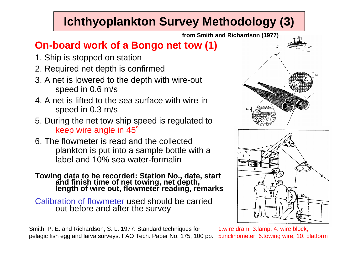# **Ichthyoplankton Survey Methodology (3)**

**from Smith and Richardson (1977)**

#### **On-board work of a Bongo net tow (1)**

- 1. Ship is stopped on station
- 2. Required net depth is confirmed
- 3. A net is lowered to the depth with wire-out speed in 0.6 m/s
- 4. A net is lifted to the sea surface with wire-in speed in 0.3 m/s
- 5. During the net tow ship speed is regulated to keep wire angle in 45 °
- 6. The flowmeter is read and the collected plankton is put into a sample bottle with a label and 10% sea water-formalin

# **Towing data to be recorded: Station No., date, start and finish time of net towing, net depth, length of wire out, flowmeter reading, remarks**

Calibration of flowmeter used should be carried out before and after the survey

Smith, P. E. and Richardson, S. L. 1977: Standard techniques for pelagic fish egg and larva surveys. FAO Tech. Paper No. 175, 100 pp.





1.wire dram, 3.lamp, 4. wire block, 5.inclinometer, 6.towing wire, 10. platform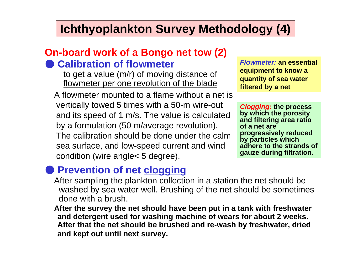## **Ichthyoplankton Survey Methodology (4)**

#### **On-board work of a Bongo net tow (2) Calibration of flowmeter**

to get a value (m/r) of moving distance of flowmeter per one revolution of the blade

A flowmeter mounted to a flame without a net is vertically towed 5 times with a 50-m wire-out and its speed of 1 m/s. The value is calculated by a formulation (50 m/average revolution). The calibration should be done under the calm sea surface, and low-speed current and wind condition (wire angle< 5 degree).

*Flowmeter:* **an essential equipment to know a quantity of sea water filtered by a net**

*Clogging:* **the process by which the porosity and filtering area ratio of a net are progressively reduced by particles which adhere to the strands of gauze during filtration.**

#### **• Prevention of net clogging**

After sampling the plankton collection in a station the net should be washed by sea water well. Brushing of the net should be sometimes done with a brush.

**After the survey the net should have been put in a tank with freshwater and detergent used for washing machine of wears for about 2 weeks. After that the net should be brushed and re-wash by freshwater, dried and kept out until next survey.**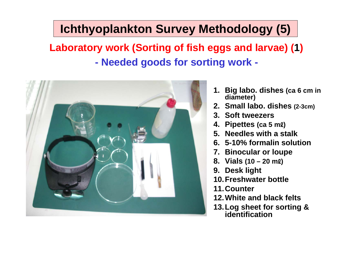# **Ichthyoplankton Survey Methodology (5)**

**Laboratory work (Sorting of fish eggs and larvae) ( 1 ) Needed goods for sorting work -**



- **1. Big labo. dishes (ca 6 cm in diameter)**
- **2. Small labo. dishes (2-3cm)**
- **3. Soft tweezers**
- **4. Pipettes (ca 5 m** ℓ**)**
- **5. Needles with a stalk**
- **6. 5-10% formalin solution**
- **7. Binocular or loupe**
- **8. Vials (10 – 20 m** ℓ**)**
- **9. Desk light**
- **10.Freshwater bottle**
- **11.Counter**
- **12.White and black felts**
- **13.Log sheet for sorting & identification**